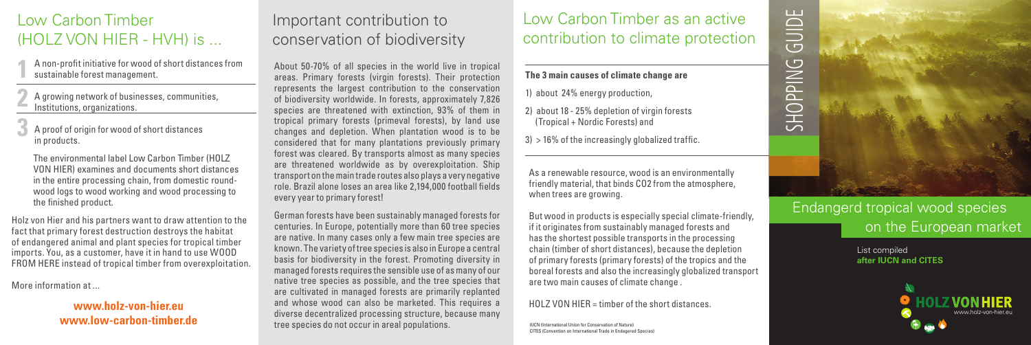## Low Carbon Timber (HOLZ VON HIER - HVH) is ...

- A non-profit initiative for wood of short distances from sustainable forest management. **1**
- A growing network of businesses, communities, Institutions, organizations. **2**
- A proof of origin for wood of short distances in products. **3**
	- The environmental label Low Carbon Timber (HOLZ VON HIER) examines and documents short distances in the entire processing chain, from domestic roundwood logs to wood working and wood processing to the finished product.
- Holz von Hier and his partners want to draw attention to the fact that primary forest destruction destroys the habitat of endangered animal and plant species for tropical timber imports. You, as a customer, have it in hand to use WOOD FROM HERE instead of tropical timber from overexploitation.

More information at ...

#### **www.holz-von-hier.eu www.low-carbon-timber.de**

# Important contribution to conservation of biodiversity

About 50-70% of all species in the world live in tropical areas. Primary forests (virgin forests). Their protection represents the largest contribution to the conservation of biodiversity worldwide. In forests, approximately 7,826 species are threatened with extinction, 93% of them in tropical primary forests (primeval forests), by land use changes and depletion. When plantation wood is to be considered that for many plantations previously primary forest was cleared. By transports almost as many species are threatened worldwide as by overexploitation. Ship transport on the main trade routes also plays a very negative role. Brazil alone loses an area like 2,194,000 football fields every year to primary forest!

German forests have been sustainably managed forests for centuries. In Europe, potentially more than 60 tree species are native. In many cases only a few main tree species are known. The variety of tree species is also in Europe a central basis for biodiversity in the forest. Promoting diversity in managed forests requires the sensible use of as many of our native tree species as possible, and the tree species that are cultivated in managed forests are primarily replanted and whose wood can also be marketed. This requires a diverse decentralized processing structure, because many tree species do not occur in areal populations.

# Low Carbon Timber as an active contribution to climate protection

#### **The 3 main causes of climate change are**

1) about 24% energy production,

- 2) about 18 25% depletion of virgin forests (Tropical + Nordic Forests) and
- $3$ ) > 16% of the increasingly globalized traffic.

As a renewable resource, wood is an environmentally friendly material, that binds CO2 from the atmosphere, when trees are growing.

But wood in products is especially special climate-friendly, if it originates from sustainably managed forests and has the shortest possible transports in the processing chain (timber of short distances), because the depletion of primary forests (primary forests) of the tropics and the boreal forests and also the increasingly globalized transport are two main causes of climate change .

HOLZ VON HIER = timber of the short distances.

IUCN (International Union for Conservation of Nature) CITES (Convention on International Trade in Endagered Species)

# GUIDE SHOPPING GUIDE $\overline{C}$ SHOPPING

## Endangerd tropical wood species on the European market

List compiled **after IUCN and CITES**